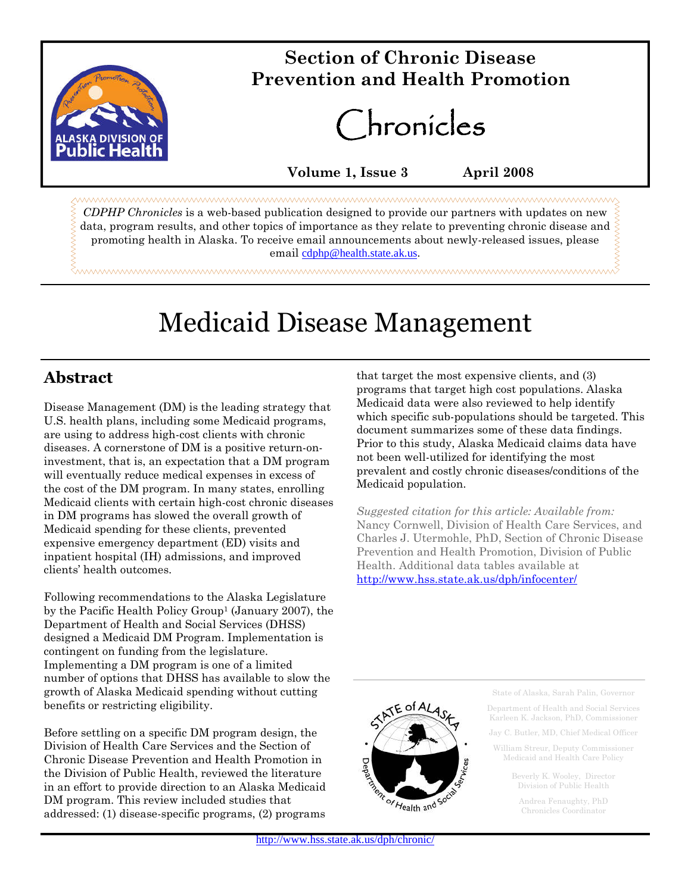

## **Section of Chronic Disease Prevention and Health Promotion**

Chronicles

**Volume 1, Issue 3 April 2008**

*CDPHP Chronicles* is a web-based publication designed to provide our partners with updates on new data, program results, and other topics of importance as they relate to preventing chronic disease and promoting health in Alaska. To receive email announcements about newly-released issues, please email cdphp@health.state.ak.us.

# Medicaid Disease Management

### **Abstract**

Disease Management (DM) is the leading strategy that U.S. health plans, including some Medicaid programs, are using to address high-cost clients with chronic diseases. A cornerstone of DM is a positive return-oninvestment, that is, an expectation that a DM program will eventually reduce medical expenses in excess of the cost of the DM program. In many states, enrolling Medicaid clients with certain high-cost chronic diseases in DM programs has slowed the overall growth of Medicaid spending for these clients, prevented expensive emergency department (ED) visits and inpatient hospital (IH) admissions, and improved clients' health outcomes.

Following recommendations to the Alaska Legislature by the Pacific Health Policy Group<sup>1</sup> (January 2007), the Department of Health and Social Services (DHSS) designed a Medicaid DM Program. Implementation is contingent on funding from the legislature. Implementing a DM program is one of a limited number of options that DHSS has available to slow the growth of Alaska Medicaid spending without cutting benefits or restricting eligibility.

Before settling on a specific DM program design, the Division of Health Care Services and the Section of Chronic Disease Prevention and Health Promotion in the Division of Public Health, reviewed the literature in an effort to provide direction to an Alaska Medicaid DM program. This review included studies that addressed: (1) disease-specific programs, (2) programs that target the most expensive clients, and (3) programs that target high cost populations. Alaska Medicaid data were also reviewed to help identify which specific sub-populations should be targeted. This document summarizes some of these data findings. Prior to this study, Alaska Medicaid claims data have not been well-utilized for identifying the most prevalent and costly chronic diseases/conditions of the Medicaid population.

*Suggested citation for this article: Available from:* Nancy Cornwell, Division of Health Care Services, and Charles J. Utermohle, PhD, Section of Chronic Disease Prevention and Health Promotion, Division of Public Health. Additional data tables available at http://www.hss.state.ak.us/dph/infocenter/



State of Alaska, Sarah Palin, Governor

Department of Health and Social Services Karleen K. Jackson, PhD, Commissioner

Jay C. Butler, MD, Chief Medical Officer

William Streur, Deputy Commissioner Medicaid and Health Care Policy

> Beverly K. Wooley, Director Division of Public Health

Andrea Fenaughty, PhD Chronicles Coordinator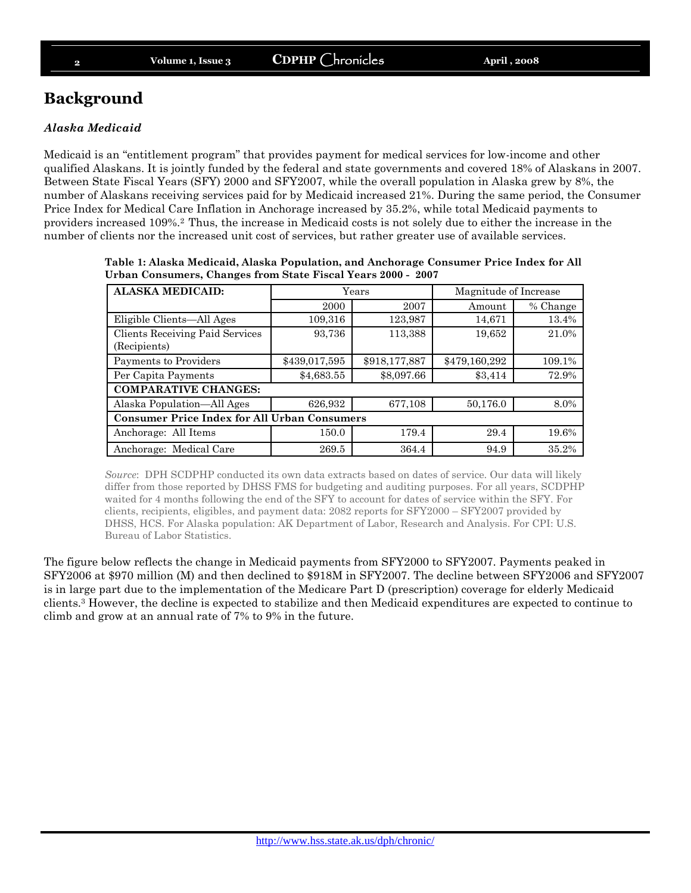### **Background**

#### *Alaska Medicaid*

Medicaid is an "entitlement program" that provides payment for medical services for low-income and other qualified Alaskans. It is jointly funded by the federal and state governments and covered 18% of Alaskans in 2007. Between State Fiscal Years (SFY) 2000 and SFY2007, while the overall population in Alaska grew by 8%, the number of Alaskans receiving services paid for by Medicaid increased 21%. During the same period, the Consumer Price Index for Medical Care Inflation in Anchorage increased by 35.2%, while total Medicaid payments to providers increased 109%.<sup>2</sup> Thus, the increase in Medicaid costs is not solely due to either the increase in the number of clients nor the increased unit cost of services, but rather greater use of available services.

| <b>ALASKA MEDICAID:</b>                             | Years         |               | Magnitude of Increase |          |  |  |  |  |
|-----------------------------------------------------|---------------|---------------|-----------------------|----------|--|--|--|--|
|                                                     | 2000          | 2007          | Amount                | % Change |  |  |  |  |
| Eligible Clients-All Ages                           | 109,316       | 123,987       | 14,671                | 13.4%    |  |  |  |  |
| Clients Receiving Paid Services<br>(Recipients)     | 93,736        | 113,388       | 19,652                | 21.0%    |  |  |  |  |
| Payments to Providers                               | \$439,017,595 | \$918,177,887 | \$479,160,292         | 109.1%   |  |  |  |  |
| Per Capita Payments                                 | \$4,683.55    | \$8,097.66    | \$3,414               | 72.9%    |  |  |  |  |
| <b>COMPARATIVE CHANGES:</b>                         |               |               |                       |          |  |  |  |  |
| Alaska Population—All Ages                          | 626,932       | 677,108       | 50,176.0              | 8.0%     |  |  |  |  |
| <b>Consumer Price Index for All Urban Consumers</b> |               |               |                       |          |  |  |  |  |
| Anchorage: All Items                                | 150.0         | 179.4         | 29.4                  | 19.6%    |  |  |  |  |
| Anchorage: Medical Care                             | 269.5         | 364.4         | 94.9                  | 35.2%    |  |  |  |  |

**Table 1: Alaska Medicaid, Alaska Population, and Anchorage Consumer Price Index for All Urban Consumers, Changes from State Fiscal Years 2000 - 2007**

*Source*: DPH SCDPHP conducted its own data extracts based on dates of service. Our data will likely differ from those reported by DHSS FMS for budgeting and auditing purposes. For all years, SCDPHP waited for 4 months following the end of the SFY to account for dates of service within the SFY. For clients, recipients, eligibles, and payment data: 2082 reports for SFY2000 – SFY2007 provided by DHSS, HCS. For Alaska population: AK Department of Labor, Research and Analysis. For CPI: U.S. Bureau of Labor Statistics.

The figure below reflects the change in Medicaid payments from SFY2000 to SFY2007. Payments peaked in SFY2006 at \$970 million (M) and then declined to \$918M in SFY2007. The decline between SFY2006 and SFY2007 is in large part due to the implementation of the Medicare Part D (prescription) coverage for elderly Medicaid clients.<sup>3</sup> However, the decline is expected to stabilize and then Medicaid expenditures are expected to continue to climb and grow at an annual rate of 7% to 9% in the future.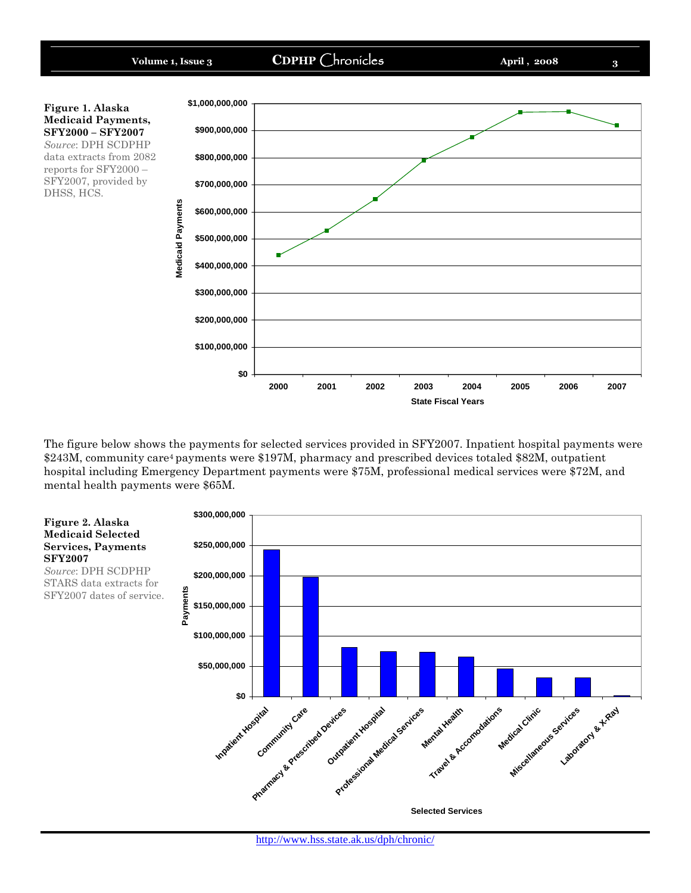

The figure below shows the payments for selected services provided in SFY2007. Inpatient hospital payments were \$243M, community care<sup>4</sup> payments were \$197M, pharmacy and prescribed devices totaled \$82M, outpatient hospital including Emergency Department payments were \$75M, professional medical services were \$72M, and mental health payments were \$65M.

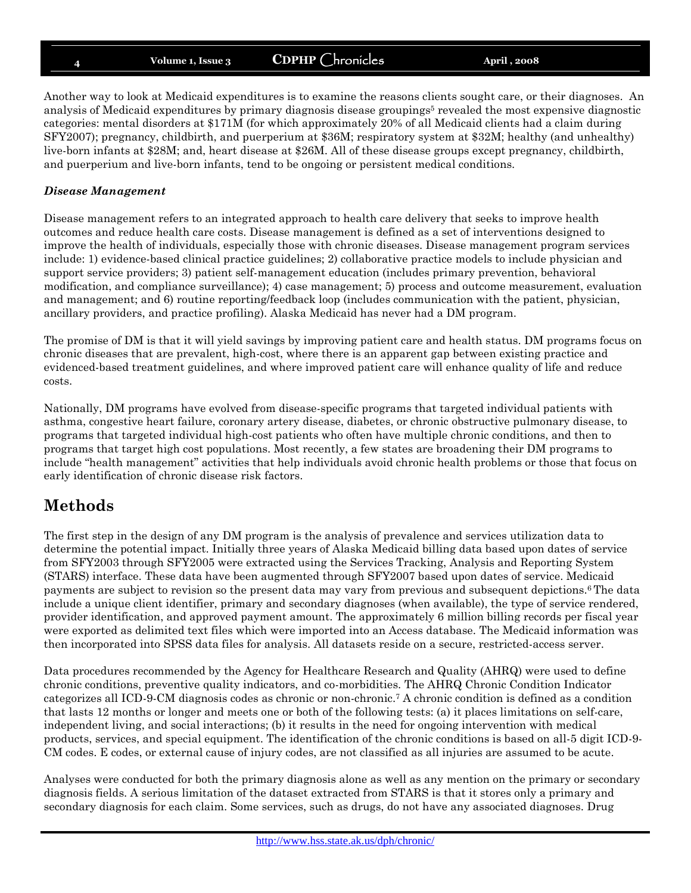Another way to look at Medicaid expenditures is to examine the reasons clients sought care, or their diagnoses. An analysis of Medicaid expenditures by primary diagnosis disease groupings<sup>5</sup> revealed the most expensive diagnostic categories: mental disorders at \$171M (for which approximately 20% of all Medicaid clients had a claim during SFY2007); pregnancy, childbirth, and puerperium at \$36M; respiratory system at \$32M; healthy (and unhealthy) live-born infants at \$28M; and, heart disease at \$26M. All of these disease groups except pregnancy, childbirth, and puerperium and live-born infants, tend to be ongoing or persistent medical conditions.

#### *Disease Management*

Disease management refers to an integrated approach to health care delivery that seeks to improve health outcomes and reduce health care costs. Disease management is defined as a set of interventions designed to improve the health of individuals, especially those with chronic diseases. Disease management program services include: 1) evidence-based clinical practice guidelines; 2) collaborative practice models to include physician and support service providers; 3) patient self-management education (includes primary prevention, behavioral modification, and compliance surveillance); 4) case management; 5) process and outcome measurement, evaluation and management; and 6) routine reporting/feedback loop (includes communication with the patient, physician, ancillary providers, and practice profiling). Alaska Medicaid has never had a DM program.

The promise of DM is that it will yield savings by improving patient care and health status. DM programs focus on chronic diseases that are prevalent, high-cost, where there is an apparent gap between existing practice and evidenced-based treatment guidelines, and where improved patient care will enhance quality of life and reduce costs.

Nationally, DM programs have evolved from disease-specific programs that targeted individual patients with asthma, congestive heart failure, coronary artery disease, diabetes, or chronic obstructive pulmonary disease, to programs that targeted individual high-cost patients who often have multiple chronic conditions, and then to programs that target high cost populations. Most recently, a few states are broadening their DM programs to include "health management" activities that help individuals avoid chronic health problems or those that focus on early identification of chronic disease risk factors.

### **Methods**

The first step in the design of any DM program is the analysis of prevalence and services utilization data to determine the potential impact. Initially three years of Alaska Medicaid billing data based upon dates of service from SFY2003 through SFY2005 were extracted using the Services Tracking, Analysis and Reporting System (STARS) interface. These data have been augmented through SFY2007 based upon dates of service. Medicaid payments are subject to revision so the present data may vary from previous and subsequent depictions.<sup>6</sup> The data include a unique client identifier, primary and secondary diagnoses (when available), the type of service rendered, provider identification, and approved payment amount. The approximately 6 million billing records per fiscal year were exported as delimited text files which were imported into an Access database. The Medicaid information was then incorporated into SPSS data files for analysis. All datasets reside on a secure, restricted-access server.

Data procedures recommended by the Agency for Healthcare Research and Quality (AHRQ) were used to define chronic conditions, preventive quality indicators, and co-morbidities. The AHRQ Chronic Condition Indicator categorizes all ICD-9-CM diagnosis codes as chronic or non-chronic.<sup>7</sup> A chronic condition is defined as a condition that lasts 12 months or longer and meets one or both of the following tests: (a) it places limitations on self-care, independent living, and social interactions; (b) it results in the need for ongoing intervention with medical products, services, and special equipment. The identification of the chronic conditions is based on all-5 digit ICD-9- CM codes. E codes, or external cause of injury codes, are not classified as all injuries are assumed to be acute.

Analyses were conducted for both the primary diagnosis alone as well as any mention on the primary or secondary diagnosis fields. A serious limitation of the dataset extracted from STARS is that it stores only a primary and secondary diagnosis for each claim. Some services, such as drugs, do not have any associated diagnoses. Drug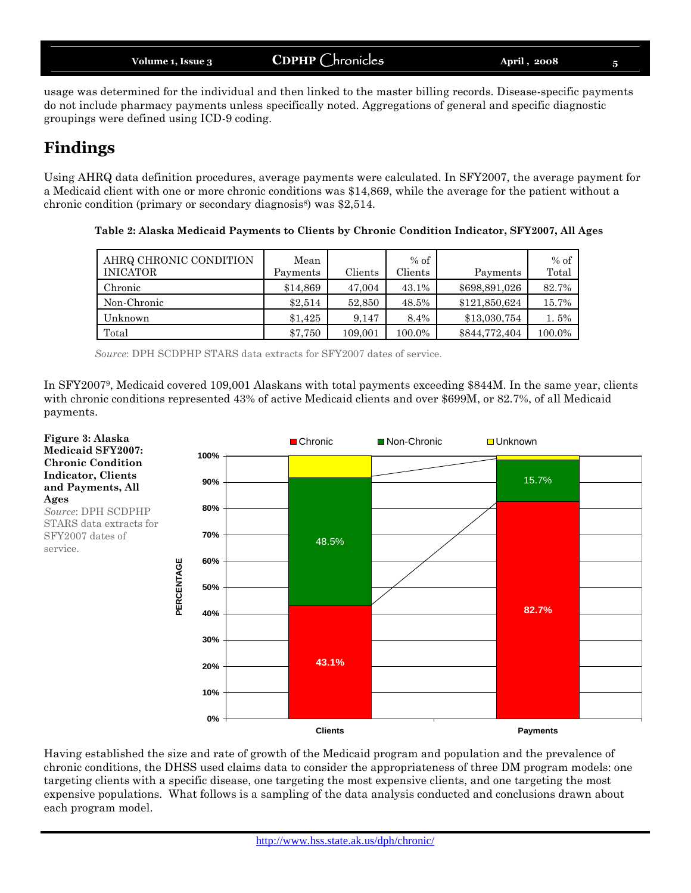usage was determined for the individual and then linked to the master billing records. Disease-specific payments do not include pharmacy payments unless specifically noted. Aggregations of general and specific diagnostic groupings were defined using ICD-9 coding.

### **Findings**

**Figure 3: Alaska Medicaid SFY2007: Chronic Condition Indicator, Clients and Payments, All**

*Source*: DPH SCDPHP STARS data extracts for SFY2007 dates of

**Ages**

service.

Using AHRQ data definition procedures, average payments were calculated. In SFY2007, the average payment for a Medicaid client with one or more chronic conditions was \$14,869, while the average for the patient without a chronic condition (primary or secondary diagnosis<sup>8</sup>) was  $$2,514$ .

| AHRQ CHRONIC CONDITION<br><b>INICATOR</b> | Mean<br>Payments | Clients | $%$ of<br>Clients | Payments      | $%$ of<br>Total |
|-------------------------------------------|------------------|---------|-------------------|---------------|-----------------|
| Chronic                                   | \$14,869         | 47,004  | 43.1%             | \$698,891,026 | 82.7%           |
| Non-Chronic                               | \$2.514          | 52,850  | 48.5%             | \$121,850,624 | 15.7%           |
| Unknown                                   | \$1.425          | 9.147   | 8.4%              | \$13,030,754  | 1.5%            |
| Total                                     | \$7,750          | 109,001 | 100.0%            | \$844,772,404 | 100.0%          |

**Table 2: Alaska Medicaid Payments to Clients by Chronic Condition Indicator, SFY2007, All Ages**

*Source*: DPH SCDPHP STARS data extracts for SFY2007 dates of service.

In SFY20079, Medicaid covered 109,001 Alaskans with total payments exceeding \$844M. In the same year, clients with chronic conditions represented 43% of active Medicaid clients and over \$699M, or 82.7%, of all Medicaid payments.



Having established the size and rate of growth of the Medicaid program and population and the prevalence of chronic conditions, the DHSS used claims data to consider the appropriateness of three DM program models: one targeting clients with a specific disease, one targeting the most expensive clients, and one targeting the most expensive populations. What follows is a sampling of the data analysis conducted and conclusions drawn about each program model.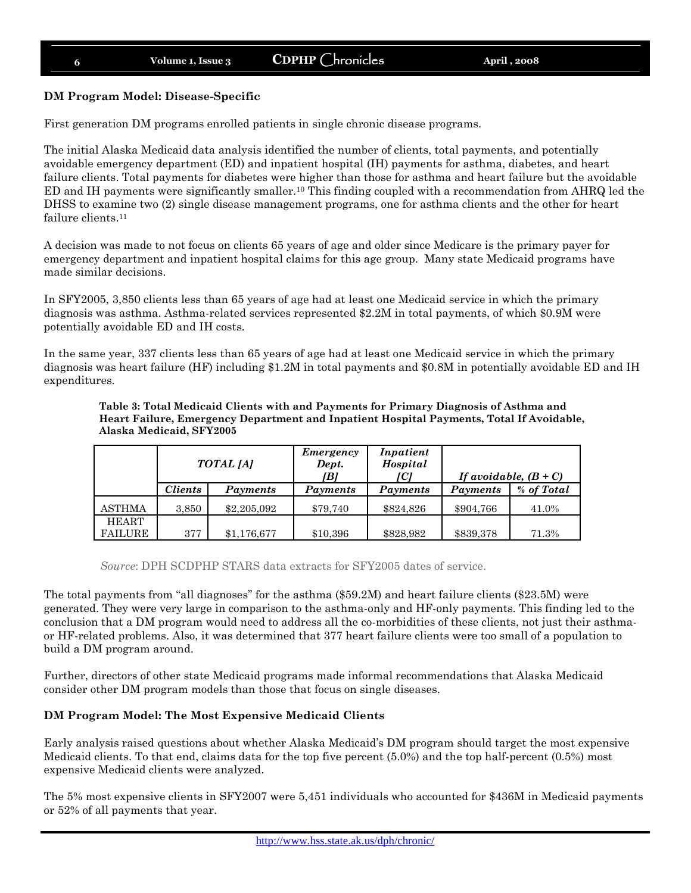#### **DM Program Model: Disease-Specific**

First generation DM programs enrolled patients in single chronic disease programs.

The initial Alaska Medicaid data analysis identified the number of clients, total payments, and potentially avoidable emergency department (ED) and inpatient hospital (IH) payments for asthma, diabetes, and heart failure clients. Total payments for diabetes were higher than those for asthma and heart failure but the avoidable ED and IH payments were significantly smaller.<sup>10</sup> This finding coupled with a recommendation from AHRQ led the DHSS to examine two (2) single disease management programs, one for asthma clients and the other for heart failure clients.<sup>11</sup>

A decision was made to not focus on clients 65 years of age and older since Medicare is the primary payer for emergency department and inpatient hospital claims for this age group. Many state Medicaid programs have made similar decisions.

In SFY2005, 3,850 clients less than 65 years of age had at least one Medicaid service in which the primary diagnosis was asthma. Asthma-related services represented \$2.2M in total payments, of which \$0.9M were potentially avoidable ED and IH costs.

In the same year, 337 clients less than 65 years of age had at least one Medicaid service in which the primary diagnosis was heart failure (HF) including \$1.2M in total payments and \$0.8M in potentially avoidable ED and IH expenditures.

|                                | TOTAL [A]             |             | Inpatient<br>Emergency<br>Hospital<br>Dept.<br>[B]<br>ICI |           | If avoidable, $(B+C)$ |            |
|--------------------------------|-----------------------|-------------|-----------------------------------------------------------|-----------|-----------------------|------------|
|                                | <i><b>Clients</b></i> | Payments    | Payments                                                  | Payments  | Payments              | % of Total |
| <b>ASTHMA</b>                  | 3,850                 | \$2,205,092 | \$79,740                                                  | \$824,826 | \$904,766             | 41.0%      |
| <b>HEART</b><br><b>FAILURE</b> | 377                   | \$1,176,677 | \$10,396                                                  | \$828,982 | \$839,378             | 71.3%      |

**Table 3: Total Medicaid Clients with and Payments for Primary Diagnosis of Asthma and Heart Failure, Emergency Department and Inpatient Hospital Payments, Total If Avoidable, Alaska Medicaid, SFY2005**

*Source*: DPH SCDPHP STARS data extracts for SFY2005 dates of service.

The total payments from "all diagnoses" for the asthma (\$59.2M) and heart failure clients (\$23.5M) were generated. They were very large in comparison to the asthma-only and HF-only payments. This finding led to the conclusion that a DM program would need to address all the co-morbidities of these clients, not just their asthmaor HF-related problems. Also, it was determined that 377 heart failure clients were too small of a population to build a DM program around.

Further, directors of other state Medicaid programs made informal recommendations that Alaska Medicaid consider other DM program models than those that focus on single diseases.

#### **DM Program Model: The Most Expensive Medicaid Clients**

Early analysis raised questions about whether Alaska Medicaid's DM program should target the most expensive Medicaid clients. To that end, claims data for the top five percent (5.0%) and the top half-percent (0.5%) most expensive Medicaid clients were analyzed.

The 5% most expensive clients in SFY2007 were 5,451 individuals who accounted for \$436M in Medicaid payments or 52% of all payments that year.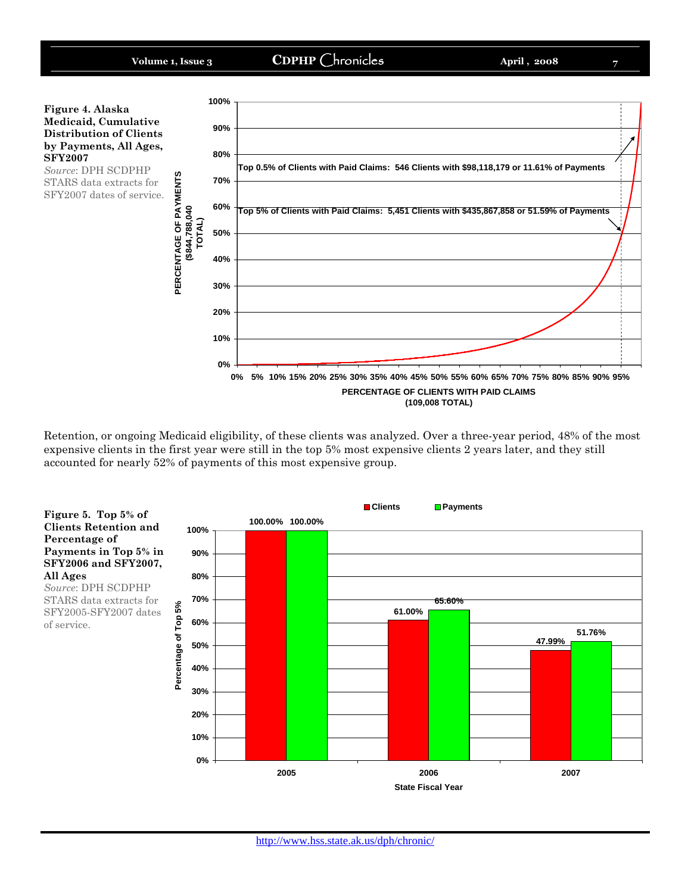

Retention, or ongoing Medicaid eligibility, of these clients was analyzed. Over a three-year period, 48% of the most expensive clients in the first year were still in the top 5% most expensive clients 2 years later, and they still accounted for nearly 52% of payments of this most expensive group.



**Clients Retention and Percentage of Payments in Top 5% in SFY2006 and SFY2007, All Ages** *Source*: DPH SCDPHP

STARS data extracts for SFY2005-SFY2007 dates of service.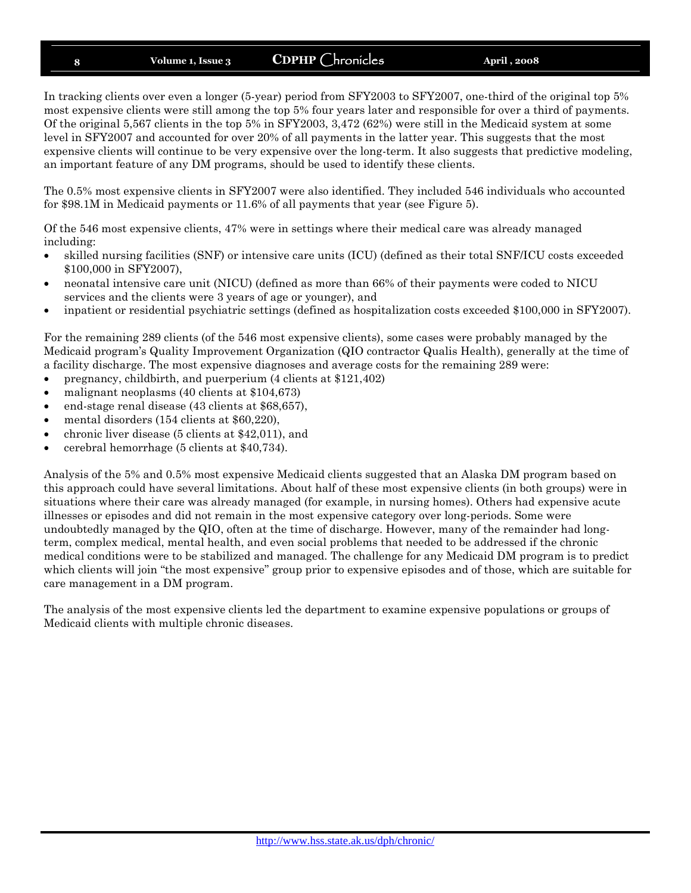In tracking clients over even a longer (5-year) period from SFY2003 to SFY2007, one-third of the original top 5% most expensive clients were still among the top 5% four years later and responsible for over a third of payments. Of the original 5,567 clients in the top 5% in SFY2003, 3,472 (62%) were still in the Medicaid system at some level in SFY2007 and accounted for over 20% of all payments in the latter year. This suggests that the most expensive clients will continue to be very expensive over the long-term. It also suggests that predictive modeling, an important feature of any DM programs, should be used to identify these clients.

The 0.5% most expensive clients in SFY2007 were also identified. They included 546 individuals who accounted for \$98.1M in Medicaid payments or 11.6% of all payments that year (see Figure 5).

Of the 546 most expensive clients, 47% were in settings where their medical care was already managed including:

- skilled nursing facilities (SNF) or intensive care units (ICU) (defined as their total SNF/ICU costs exceeded \$100,000 in SFY2007),
- neonatal intensive care unit (NICU) (defined as more than 66% of their payments were coded to NICU services and the clients were 3 years of age or younger), and
- inpatient or residential psychiatric settings (defined as hospitalization costs exceeded \$100,000 in SFY2007).

For the remaining 289 clients (of the 546 most expensive clients), some cases were probably managed by the Medicaid program's Quality Improvement Organization (QIO contractor Qualis Health), generally at the time of a facility discharge. The most expensive diagnoses and average costs for the remaining 289 were:

- pregnancy, childbirth, and puerperium (4 clients at \$121,402)
- malignant neoplasms (40 clients at \$104,673)
- end-stage renal disease (43 clients at \$68,657),
- mental disorders (154 clients at \$60,220),
- chronic liver disease (5 clients at \$42,011), and
- e cerebral hemorrhage  $(5 \text{ clients at } $40,734)$ .

Analysis of the 5% and 0.5% most expensive Medicaid clients suggested that an Alaska DM program based on this approach could have several limitations. About half of these most expensive clients (in both groups) were in situations where their care was already managed (for example, in nursing homes). Others had expensive acute illnesses or episodes and did not remain in the most expensive category over long-periods. Some were undoubtedly managed by the QIO, often at the time of discharge. However, many of the remainder had longterm, complex medical, mental health, and even social problems that needed to be addressed if the chronic medical conditions were to be stabilized and managed. The challenge for any Medicaid DM program is to predict which clients will join "the most expensive" group prior to expensive episodes and of those, which are suitable for care management in a DM program.

The analysis of the most expensive clients led the department to examine expensive populations or groups of Medicaid clients with multiple chronic diseases.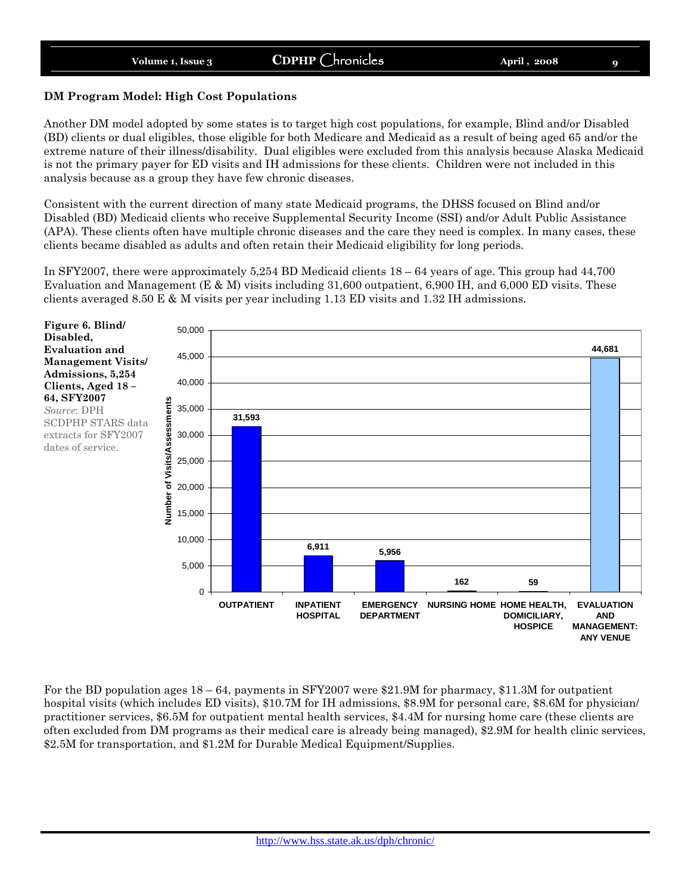#### **DM Program Model: High Cost Populations**

Another DM model adopted by some states is to target high cost populations, for example, Blind and/or Disabled (BD) clients or dual eligibles, those eligible for both Medicare and Medicaid as a result of being aged 65 and/or the extreme nature of their illness/disability. Dual eligibles were excluded from this analysis because Alaska Medicaid is not the primary payer for ED visits and IH admissions for these clients. Children were not included in this analysis because as a group they have few chronic diseases.

Consistent with the current direction of many state Medicaid programs, the DHSS focused on Blind and/or Disabled (BD) Medicaid clients who receive Supplemental Security Income (SSI) and/or Adult Public Assistance (APA). These clients often have multiple chronic diseases and the care they need is complex. In many cases, these clients became disabled as adults and often retain their Medicaid eligibility for long periods.

In SFY2007, there were approximately 5,254 BD Medicaid clients 18 – 64 years of age. This group had 44,700 Evaluation and Management ( $E \& M$ ) visits including 31,600 outpatient, 6,900 IH, and 6,000 ED visits. These clients averaged 8.50 E & M visits per year including 1.13 ED visits and 1.32 IH admissions.



For the BD population ages  $18 - 64$ , payments in SFY2007 were \$21.9M for pharmacy, \$11.3M for outpatient hospital visits (which includes ED visits), \$10.7M for IH admissions, \$8.9M for personal care, \$8.6M for physician/ practitioner services, \$6.5M for outpatient mental health services, \$4.4M for nursing home care (these clients are often excluded from DM programs as their medical care is already being managed), \$2.9M for health clinic services, \$2.5M for transportation, and \$1.2M for Durable Medical Equipment/Supplies.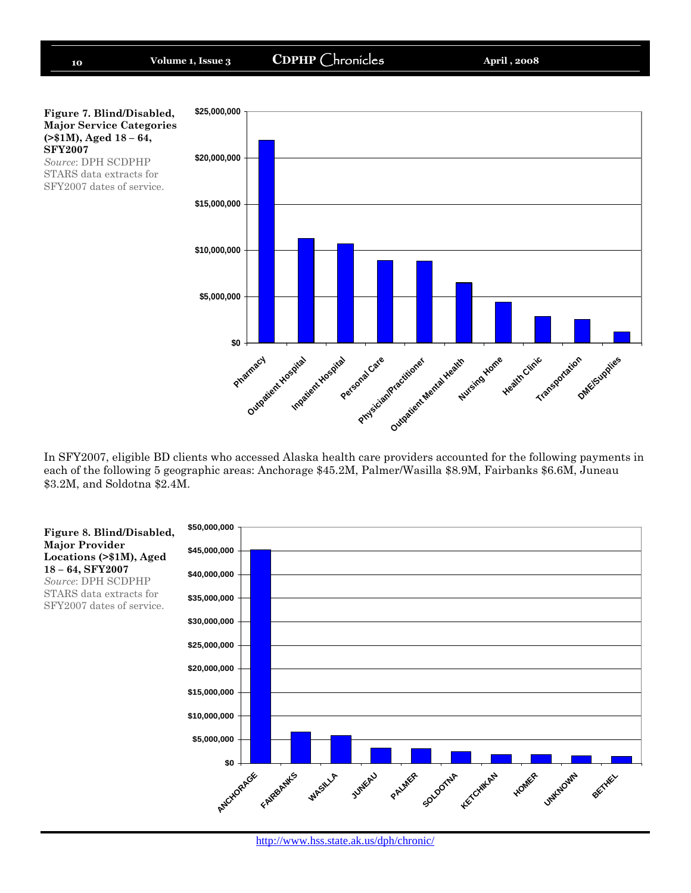

In SFY2007, eligible BD clients who accessed Alaska health care providers accounted for the following payments in each of the following 5 geographic areas: Anchorage \$45.2M, Palmer/Wasilla \$8.9M, Fairbanks \$6.6M, Juneau \$3.2M, and Soldotna \$2.4M.

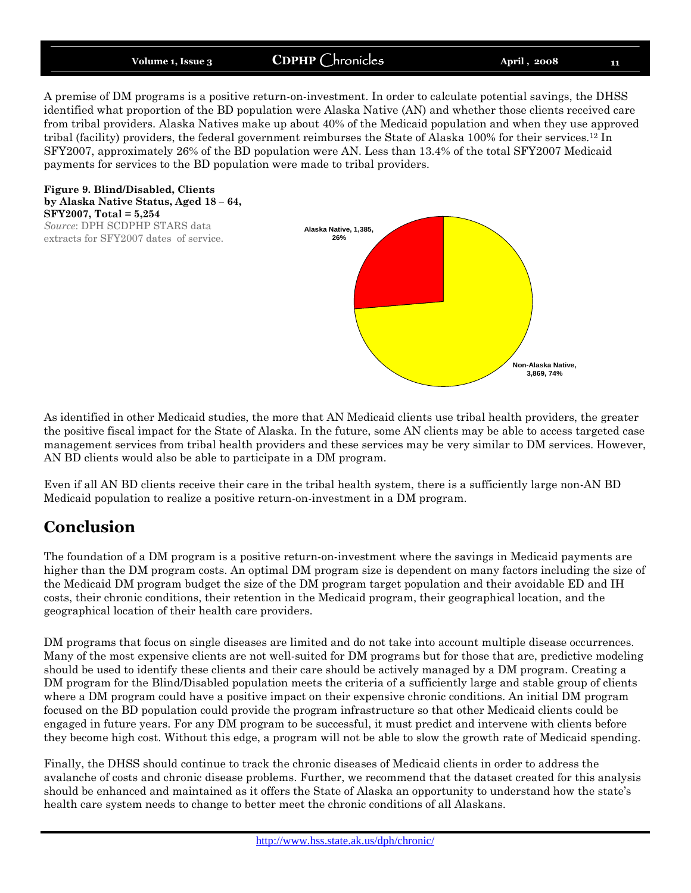A premise of DM programs is a positive return-on-investment. In order to calculate potential savings, the DHSS identified what proportion of the BD population were Alaska Native (AN) and whether those clients received care from tribal providers. Alaska Natives make up about 40% of the Medicaid population and when they use approved tribal (facility) providers, the federal government reimburses the State of Alaska 100% for their services.<sup>12</sup> In SFY2007, approximately 26% of the BD population were AN. Less than 13.4% of the total SFY2007 Medicaid payments for services to the BD population were made to tribal providers.

**Figure 9. Blind/Disabled, Clients by Alaska Native Status, Aged 18 – 64, SFY2007, Total = 5,254** *Source*: DPH SCDPHP STARS data

extracts for SFY2007 dates of service.



As identified in other Medicaid studies, the more that AN Medicaid clients use tribal health providers, the greater the positive fiscal impact for the State of Alaska. In the future, some AN clients may be able to access targeted case management services from tribal health providers and these services may be very similar to DM services. However, AN BD clients would also be able to participate in a DM program.

Even if all AN BD clients receive their care in the tribal health system, there is a sufficiently large non-AN BD Medicaid population to realize a positive return-on-investment in a DM program.

### **Conclusion**

The foundation of a DM program is a positive return-on-investment where the savings in Medicaid payments are higher than the DM program costs. An optimal DM program size is dependent on many factors including the size of the Medicaid DM program budget the size of the DM program target population and their avoidable ED and IH costs, their chronic conditions, their retention in the Medicaid program, their geographical location, and the geographical location of their health care providers.

DM programs that focus on single diseases are limited and do not take into account multiple disease occurrences. Many of the most expensive clients are not well-suited for DM programs but for those that are, predictive modeling should be used to identify these clients and their care should be actively managed by a DM program. Creating a DM program for the Blind/Disabled population meets the criteria of a sufficiently large and stable group of clients where a DM program could have a positive impact on their expensive chronic conditions. An initial DM program focused on the BD population could provide the program infrastructure so that other Medicaid clients could be engaged in future years. For any DM program to be successful, it must predict and intervene with clients before they become high cost. Without this edge, a program will not be able to slow the growth rate of Medicaid spending.

Finally, the DHSS should continue to track the chronic diseases of Medicaid clients in order to address the avalanche of costs and chronic disease problems. Further, we recommend that the dataset created for this analysis should be enhanced and maintained as it offers the State of Alaska an opportunity to understand how the state's health care system needs to change to better meet the chronic conditions of all Alaskans.